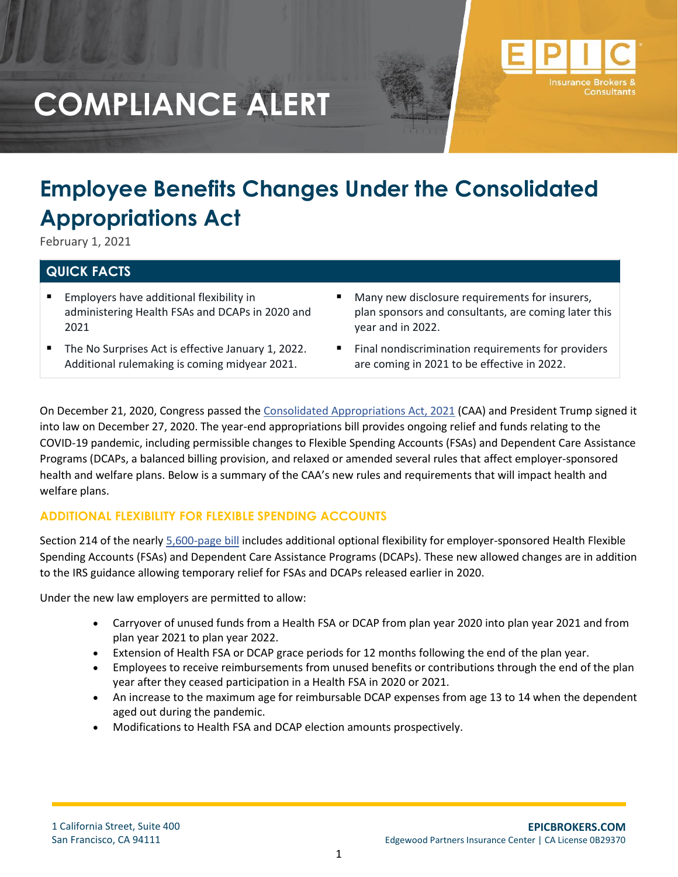

# **Employee Benefits Changes Under the Consolidated Appropriations Act**

February 1, 2021

# **QUICK FACTS**

- Employers have additional flexibility in administering Health FSAs and DCAPs in 2020 and 2021
- The No Surprises Act is effective January 1, 2022. Additional rulemaking is coming midyear 2021.
- Many new disclosure requirements for insurers, plan sponsors and consultants, are coming later this year and in 2022.
- Final nondiscrimination requirements for providers are coming in 2021 to be effective in 2022.

On December 21, 2020, Congress passed the [Consolidated Appropriations Act, 2021](https://rules.house.gov/sites/democrats.rules.house.gov/files/BILLS-116HR133SA-RCP-116-68.pdf) (CAA) and President Trump signed it into law on December 27, 2020. The year-end appropriations bill provides ongoing relief and funds relating to the COVID-19 pandemic, including permissible changes to Flexible Spending Accounts (FSAs) and Dependent Care Assistance Programs (DCAPs, a balanced billing provision, and relaxed or amended several rules that affect employer-sponsored health and welfare plans. Below is a summary of the CAA's new rules and requirements that will impact health and welfare plans.

### **ADDITIONAL FLEXIBILITY FOR FLEXIBLE SPENDING ACCOUNTS**

Section 214 of the nearly [5,600-page bill](http://r20.rs6.net/tn.jsp?f=001Vs5WTJyAidCiCQVySMJ3gxCWS2XBMSjms0XTJvTs0Vf7aOT0IuL0lz1BNgEizETEvyCM44PKFGDgZ5Kgu9RwohqYpy9nloOXO-5Dy6ctf7fOruqXInqubIStxexlG6bG9KYDufyJzCkb9F6a0avpQh-VYm_WjUlbKPKrDqnhozvVvIZgN3As2OKmwKzpvO4mwFHUTinH0r0P2hSa4H5MV4p6OZadvTY3B8uLBfSEQF2EuDXMS53DIQ==&c=aFP-VcztVRjQ1_e7kfoCPz7KNm7J_AzNxCPEg33ajWLFEz55UwFaRg==&ch=0qZHVGPOicPHfykgBbHCni4EfM8IeqRCwJKTb76An3npPwSfw1dLhw==) includes additional optional flexibility for employer-sponsored Health Flexible Spending Accounts (FSAs) and Dependent Care Assistance Programs (DCAPs). These new allowed changes are in addition to the IRS guidance allowing temporary relief for FSAs and DCAPs released earlier in 2020.

Under the new law employers are permitted to allow:

- Carryover of unused funds from a Health FSA or DCAP from plan year 2020 into plan year 2021 and from plan year 2021 to plan year 2022.
- Extension of Health FSA or DCAP grace periods for 12 months following the end of the plan year.
- Employees to receive reimbursements from unused benefits or contributions through the end of the plan year after they ceased participation in a Health FSA in 2020 or 2021.
- An increase to the maximum age for reimbursable DCAP expenses from age 13 to 14 when the dependent aged out during the pandemic.
- Modifications to Health FSA and DCAP election amounts prospectively.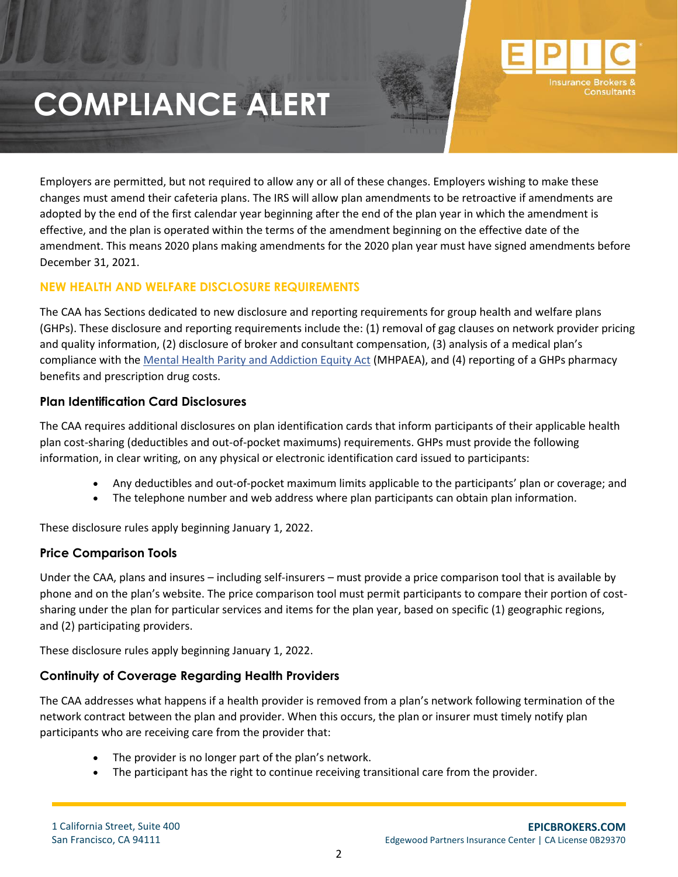

Employers are permitted, but not required to allow any or all of these changes. Employers wishing to make these changes must amend their cafeteria plans. The IRS will allow plan amendments to be retroactive if amendments are adopted by the end of the first calendar year beginning after the end of the plan year in which the amendment is effective, and the plan is operated within the terms of the amendment beginning on the effective date of the amendment. This means 2020 plans making amendments for the 2020 plan year must have signed amendments before December 31, 2021.

### **NEW HEALTH AND WELFARE DISCLOSURE REQUIREMENTS**

The CAA has Sections dedicated to new disclosure and reporting requirements for group health and welfare plans (GHPs). These disclosure and reporting requirements include the: (1) removal of gag clauses on network provider pricing and quality information, (2) disclosure of broker and consultant compensation, (3) analysis of a medical plan's compliance with the [Mental Health Parity and Addiction Equity Act](https://www.cms.gov/CCIIO/Programs-and-Initiatives/Other-Insurance-Protections/mhpaea_factsheet) (MHPAEA), and (4) reporting of a GHPs pharmacy benefits and prescription drug costs.

### **Plan Identification Card Disclosures**

The CAA requires additional disclosures on plan identification cards that inform participants of their applicable health plan cost-sharing (deductibles and out-of-pocket maximums) requirements. GHPs must provide the following information, in clear writing, on any physical or electronic identification card issued to participants:

- Any deductibles and out-of-pocket maximum limits applicable to the participants' plan or coverage; and
- The telephone number and web address where plan participants can obtain plan information.

These disclosure rules apply beginning January 1, 2022.

### **Price Comparison Tools**

Under the CAA, plans and insures – including self-insurers – must provide a price comparison tool that is available by phone and on the plan's website. The price comparison tool must permit participants to compare their portion of costsharing under the plan for particular services and items for the plan year, based on specific (1) geographic regions, and (2) participating providers.

These disclosure rules apply beginning January 1, 2022.

### **Continuity of Coverage Regarding Health Providers**

The CAA addresses what happens if a health provider is removed from a plan's network following termination of the network contract between the plan and provider. When this occurs, the plan or insurer must timely notify plan participants who are receiving care from the provider that:

- The provider is no longer part of the plan's network.
- The participant has the right to continue receiving transitional care from the provider.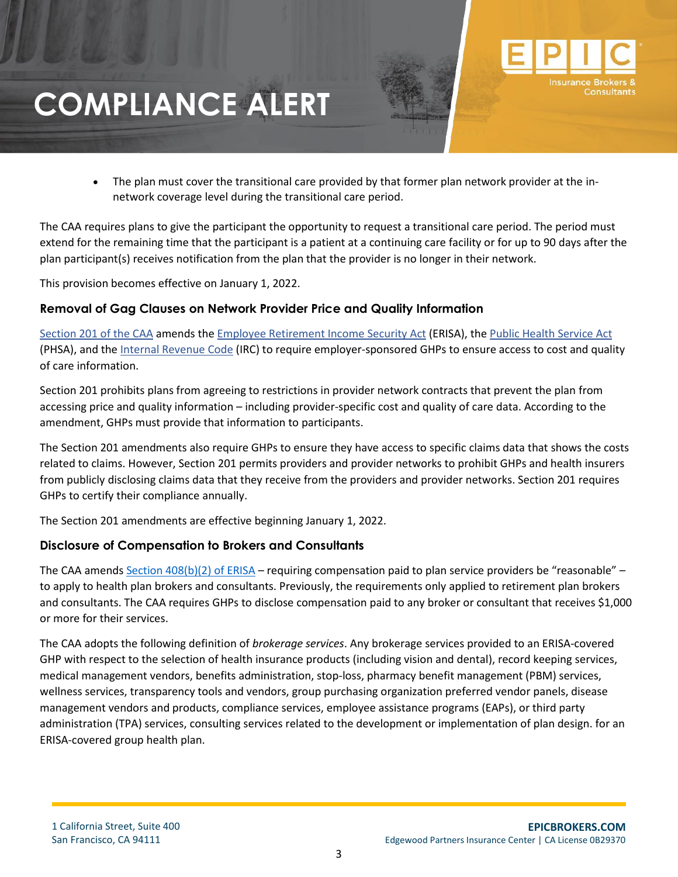

The CAA requires plans to give the participant the opportunity to request a transitional care period. The period must extend for the remaining time that the participant is a patient at a continuing care facility or for up to 90 days after the plan participant(s) receives notification from the plan that the provider is no longer in their network.

This provision becomes effective on January 1, 2022.

#### **Removal of Gag Clauses on Network Provider Price and Quality Information**

[Section 201 of the CAA](https://www.congress.gov/116/bills/hr133/BILLS-116hr133enr.pdf) amends the [Employee Retirement Income](https://www.dol.gov/general/topic/retirement/erisa) Security Act (ERISA), the [Public Health Service Act](https://www.phe.gov/Preparedness/planning/authority/Pages/default.aspx) (PHSA), and the [Internal Revenue Code](https://www.irs.gov/privacy-disclosure/tax-code-regulations-and-official-guidance) (IRC) to require employer-sponsored GHPs to ensure access to cost and quality of care information.

Section 201 prohibits plans from agreeing to restrictions in provider network contracts that prevent the plan from accessing price and quality information – including provider-specific cost and quality of care data. According to the amendment, GHPs must provide that information to participants.

The Section 201 amendments also require GHPs to ensure they have access to specific claims data that shows the costs related to claims. However, Section 201 permits providers and provider networks to prohibit GHPs and health insurers from publicly disclosing claims data that they receive from the providers and provider networks. Section 201 requires GHPs to certify their compliance annually.

The Section 201 amendments are effective beginning January 1, 2022.

#### **Disclosure of Compensation to Brokers and Consultants**

The CAA amends [Section 408\(b\)\(2\) of ERISA](https://www.dol.gov/sites/dolgov/files/EBSA/about-ebsa/our-activities/resource-center/fact-sheets/final-regulation-service-provider-disclosures-under-408b2.pdf) – requiring compensation paid to plan service providers be "reasonable" – to apply to health plan brokers and consultants. Previously, the requirements only applied to retirement plan brokers and consultants. The CAA requires GHPs to disclose compensation paid to any broker or consultant that receives \$1,000 or more for their services.

The CAA adopts the following definition of *brokerage services*. Any brokerage services provided to an ERISA-covered GHP with respect to the selection of health insurance products (including vision and dental), record keeping services, medical management vendors, benefits administration, stop-loss, pharmacy benefit management (PBM) services, wellness services, transparency tools and vendors, group purchasing organization preferred vendor panels, disease management vendors and products, compliance services, employee assistance programs (EAPs), or third party administration (TPA) services, consulting services related to the development or implementation of plan design. for an ERISA-covered group health plan.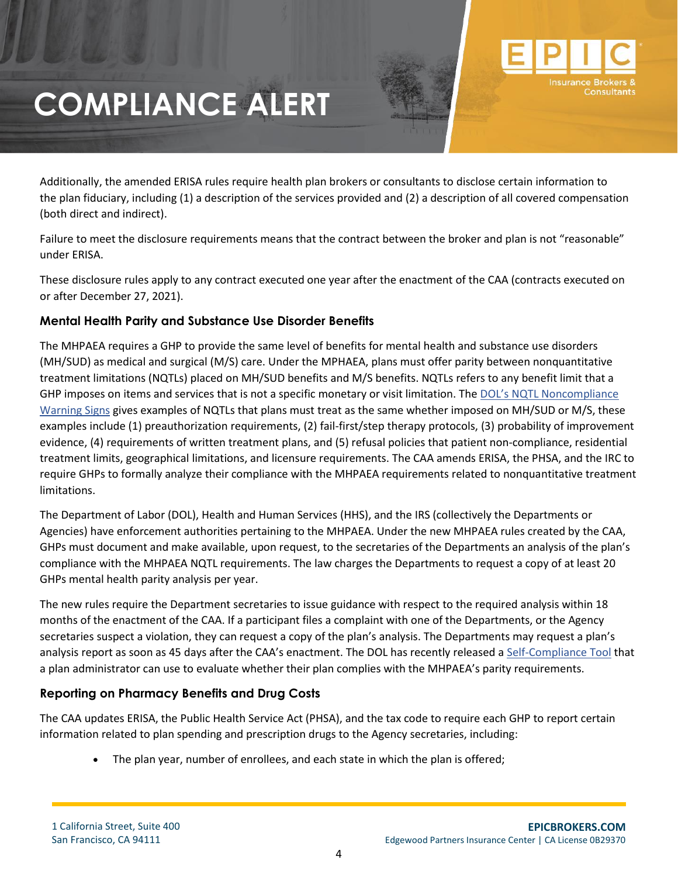Additionally, the amended ERISA rules require health plan brokers or consultants to disclose certain information to the plan fiduciary, including (1) a description of the services provided and (2) a description of all covered compensation (both direct and indirect).

Failure to meet the disclosure requirements means that the contract between the broker and plan is not "reasonable" under ERISA.

These disclosure rules apply to any contract executed one year after the enactment of the CAA (contracts executed on or after December 27, 2021).

### **Mental Health Parity and Substance Use Disorder Benefits**

The MHPAEA requires a GHP to provide the same level of benefits for mental health and substance use disorders (MH/SUD) as medical and surgical (M/S) care. Under the MPHAEA, plans must offer parity between nonquantitative treatment limitations (NQTLs) placed on MH/SUD benefits and M/S benefits. NQTLs refers to any benefit limit that a GHP imposes on items and services that is not a specific monetary or visit limitation. The [DOL's NQTL Noncompliance](https://www.dol.gov/sites/dolgov/files/ebsa/laws-and-regulations/laws/mental-health-parity/warning-signs-plan-or-policy-nqtls-that-require-additional-analysis-to-determine-mhpaea-compliance.pdf)  [Warning Signs](https://www.dol.gov/sites/dolgov/files/ebsa/laws-and-regulations/laws/mental-health-parity/warning-signs-plan-or-policy-nqtls-that-require-additional-analysis-to-determine-mhpaea-compliance.pdf) gives examples of NQTLs that plans must treat as the same whether imposed on MH/SUD or M/S, these examples include (1) preauthorization requirements, (2) fail-first/step therapy protocols, (3) probability of improvement evidence, (4) requirements of written treatment plans, and (5) refusal policies that patient non-compliance, residential treatment limits, geographical limitations, and licensure requirements. The CAA amends ERISA, the PHSA, and the IRC to require GHPs to formally analyze their compliance with the MHPAEA requirements related to nonquantitative treatment limitations.

The Department of Labor (DOL), Health and Human Services (HHS), and the IRS (collectively the Departments or Agencies) have enforcement authorities pertaining to the MHPAEA. Under the new MHPAEA rules created by the CAA, GHPs must document and make available, upon request, to the secretaries of the Departments an analysis of the plan's compliance with the MHPAEA NQTL requirements. The law charges the Departments to request a copy of at least 20 GHPs mental health parity analysis per year.

The new rules require the Department secretaries to issue guidance with respect to the required analysis within 18 months of the enactment of the CAA. If a participant files a complaint with one of the Departments, or the Agency secretaries suspect a violation, they can request a copy of the plan's analysis. The Departments may request a plan's analysis report as soon as 45 days after the CAA's enactment. The DOL has recently released a [Self-Compliance Tool](https://www.dol.gov/newsroom/releases/ebsa/ebsa20201023) that a plan administrator can use to evaluate whether their plan complies with the MHPAEA's parity requirements.

# **Reporting on Pharmacy Benefits and Drug Costs**

The CAA updates ERISA, the Public Health Service Act (PHSA), and the tax code to require each GHP to report certain information related to plan spending and prescription drugs to the Agency secretaries, including:

• The plan year, number of enrollees, and each state in which the plan is offered;

Insurance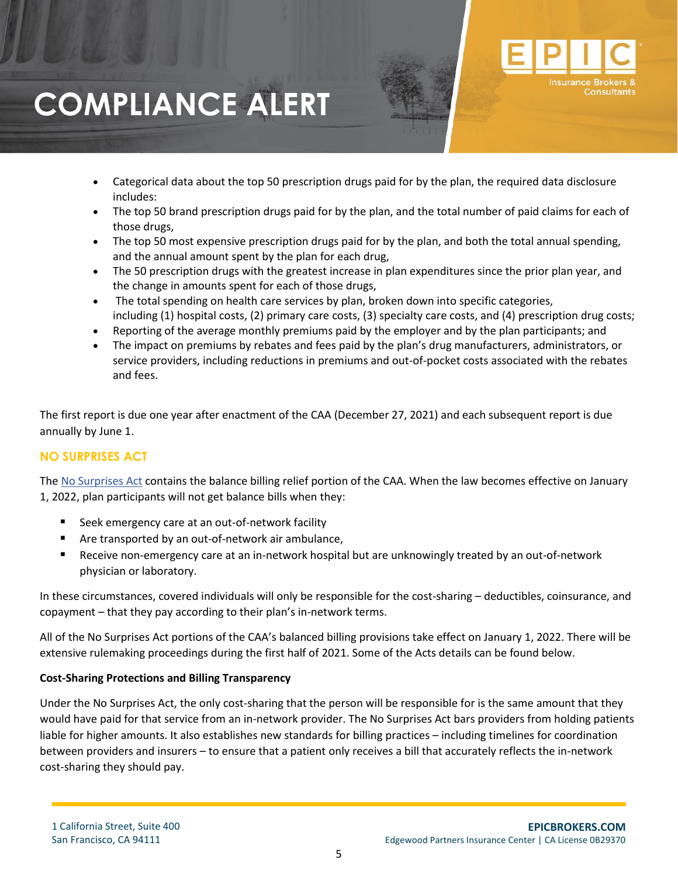- Categorical data about the top 50 prescription drugs paid for by the plan, the required data disclosure includes:
- The top 50 brand prescription drugs paid for by the plan, and the total number of paid claims for each of those drugs,
- The top 50 most expensive prescription drugs paid for by the plan, and both the total annual spending, and the annual amount spent by the plan for each drug,
- The 50 prescription drugs with the greatest increase in plan expenditures since the prior plan year, and the change in amounts spent for each of those drugs,
- The total spending on health care services by plan, broken down into specific categories, including (1) hospital costs, (2) primary care costs, (3) specialty care costs, and (4) prescription drug costs;
- Reporting of the average monthly premiums paid by the employer and by the plan participants; and
- The impact on premiums by rebates and fees paid by the plan's drug manufacturers, administrators, or service providers, including reductions in premiums and out-of-pocket costs associated with the rebates and fees.

The first report is due one year after enactment of the CAA (December 27, 2021) and each subsequent report is due annually by June 1.

# **NO SURPRISES ACT**

The [No Surprises Act](https://republicans-waysandmeansforms.house.gov/uploadedfiles/surprisebill_text.pdf?utm_campaign=203573-211) contains the balance billing relief portion of the CAA. When the law becomes effective on January 1, 2022, plan participants will not get balance bills when they:

- Seek emergency care at an out-of-network facility
- Are transported by an out-of-network air ambulance,
- Receive non-emergency care at an in-network hospital but are unknowingly treated by an out-of-network physician or laboratory.

In these circumstances, covered individuals will only be responsible for the cost-sharing – deductibles, coinsurance, and copayment – that they pay according to their plan's in-network terms.

All of the No Surprises Act portions of the CAA's balanced billing provisions take effect on January 1, 2022. There will be extensive rulemaking proceedings during the first half of 2021. Some of the Acts details can be found below.

#### **Cost-Sharing Protections and Billing Transparency**

Under the No Surprises Act, the only cost-sharing that the person will be responsible for is the same amount that they would have paid for that service from an in-network provider. The No Surprises Act bars providers from holding patients liable for higher amounts. It also establishes new standards for billing practices – including timelines for coordination between providers and insurers – to ensure that a patient only receives a bill that accurately reflects the in-network cost-sharing they should pay.

**Insurance**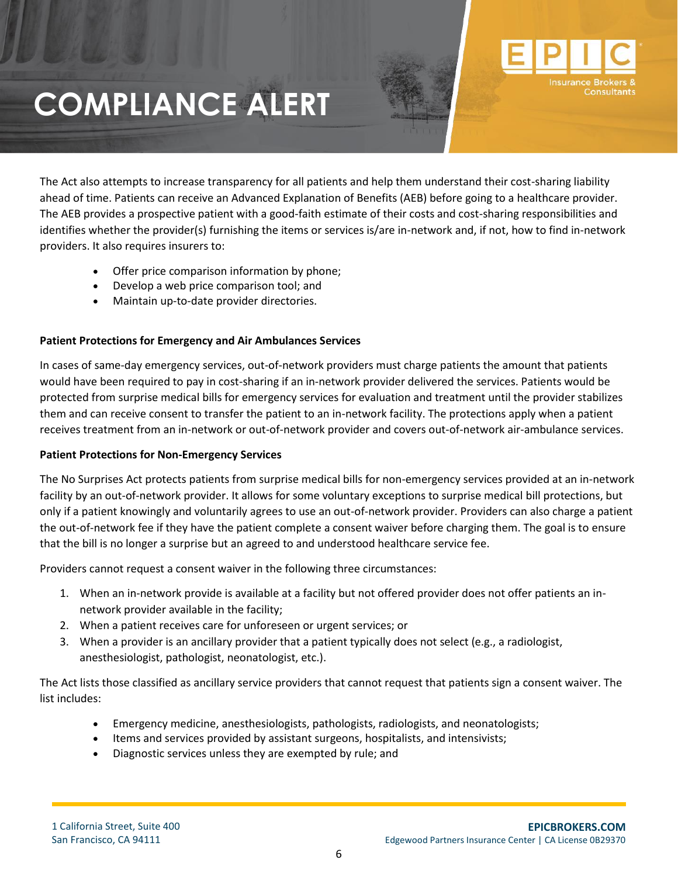The Act also attempts to increase transparency for all patients and help them understand their cost-sharing liability ahead of time. Patients can receive an Advanced Explanation of Benefits (AEB) before going to a healthcare provider. The AEB provides a prospective patient with a good-faith estimate of their costs and cost-sharing responsibilities and identifies whether the provider(s) furnishing the items or services is/are in-network and, if not, how to find in-network providers. It also requires insurers to:

- Offer price comparison information by phone;
- Develop a web price comparison tool; and
- Maintain up-to-date provider directories.

### **Patient Protections for Emergency and Air Ambulances Services**

In cases of same-day emergency services, out-of-network providers must charge patients the amount that patients would have been required to pay in cost-sharing if an in-network provider delivered the services. Patients would be protected from surprise medical bills for emergency services for evaluation and treatment until the provider stabilizes them and can receive consent to transfer the patient to an in-network facility. The protections apply when a patient receives treatment from an in-network or out-of-network provider and covers out-of-network air-ambulance services.

#### **Patient Protections for Non-Emergency Services**

The No Surprises Act protects patients from surprise medical bills for non-emergency services provided at an in-network facility by an out-of-network provider. It allows for some voluntary exceptions to surprise medical bill protections, but only if a patient knowingly and voluntarily agrees to use an out-of-network provider. Providers can also charge a patient the out-of-network fee if they have the patient complete a consent waiver before charging them. The goal is to ensure that the bill is no longer a surprise but an agreed to and understood healthcare service fee.

Providers cannot request a consent waiver in the following three circumstances:

- 1. When an in-network provide is available at a facility but not offered provider does not offer patients an innetwork provider available in the facility;
- 2. When a patient receives care for unforeseen or urgent services; or
- 3. When a provider is an ancillary provider that a patient typically does not select (e.g., a radiologist, anesthesiologist, pathologist, neonatologist, etc.).

The Act lists those classified as ancillary service providers that cannot request that patients sign a consent waiver. The list includes:

- Emergency medicine, anesthesiologists, pathologists, radiologists, and neonatologists;
- Items and services provided by assistant surgeons, hospitalists, and intensivists;
- Diagnostic services unless they are exempted by rule; and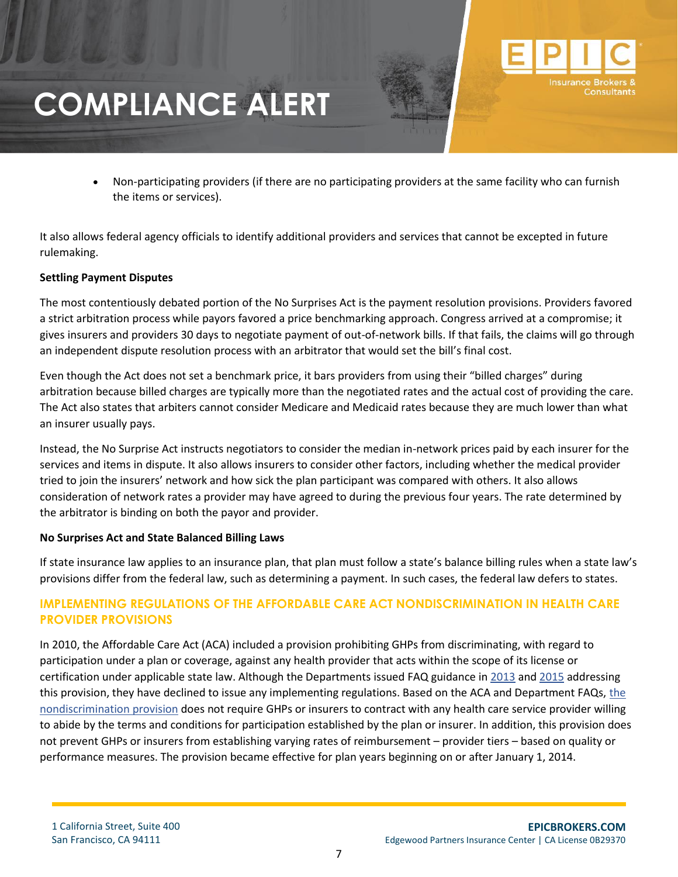• Non-participating providers (if there are no participating providers at the same facility who can furnish the items or services).

It also allows federal agency officials to identify additional providers and services that cannot be excepted in future rulemaking.

#### **Settling Payment Disputes**

The most contentiously debated portion of the No Surprises Act is the payment resolution provisions. Providers favored a strict arbitration process while payors favored a price benchmarking approach. Congress arrived at a compromise; it gives insurers and providers 30 days to negotiate payment of out-of-network bills. If that fails, the claims will go through an independent dispute resolution process with an arbitrator that would set the bill's final cost.

Even though the Act does not set a benchmark price, it bars providers from using their "billed charges" during arbitration because billed charges are typically more than the negotiated rates and the actual cost of providing the care. The Act also states that arbiters cannot consider Medicare and Medicaid rates because they are much lower than what an insurer usually pays.

Instead, the No Surprise Act instructs negotiators to consider the median in-network prices paid by each insurer for the services and items in dispute. It also allows insurers to consider other factors, including whether the medical provider tried to join the insurers' network and how sick the plan participant was compared with others. It also allows consideration of network rates a provider may have agreed to during the previous four years. The rate determined by the arbitrator is binding on both the payor and provider.

#### **No Surprises Act and State Balanced Billing Laws**

If state insurance law applies to an insurance plan, that plan must follow a state's balance billing rules when a state law's provisions differ from the federal law, such as determining a payment. In such cases, the federal law defers to states.

### **IMPLEMENTING REGULATIONS OF THE AFFORDABLE CARE ACT NONDISCRIMINATION IN HEALTH CARE PROVIDER PROVISIONS**

In 2010, the Affordable Care Act (ACA) included a provision prohibiting GHPs from discriminating, with regard to participation under a plan or coverage, against any health provider that acts within the scope of its license or certification under applicable state law. Although the Departments issued FAQ guidance in [2013](https://www.dol.gov/sites/dolgov/files/EBSA/about-ebsa/our-activities/resource-center/faqs/aca-part-xv.pdf) and [2015](https://www.dol.gov/sites/dolgov/files/EBSA/about-ebsa/our-activities/resource-center/faqs/aca-part-xxvii.pdf) addressing this provision, they have declined to issue any implementing regulations. Based on [the](https://www.govinfo.gov/app/details/USCODE-2015-title42/USCODE-2015-title42-chap6A-subchapXXV-partA-subpart1-sec300gg-5) ACA and Department FAQs, the [nondiscrimination provision](https://www.govinfo.gov/app/details/USCODE-2015-title42/USCODE-2015-title42-chap6A-subchapXXV-partA-subpart1-sec300gg-5) does not require GHPs or insurers to contract with any health care service provider willing to abide by the terms and conditions for participation established by the plan or insurer. In addition, this provision does not preven[t](applewebdata://7C543F0D-2D40-4087-8442-030B2AF9063F/) GHPs or insurers from establishing varying rates of reimbursement – provider tiers – based on quality or performance measures. The provision became effective for plan years beginning on or after January 1, 2014.

**Insurance**